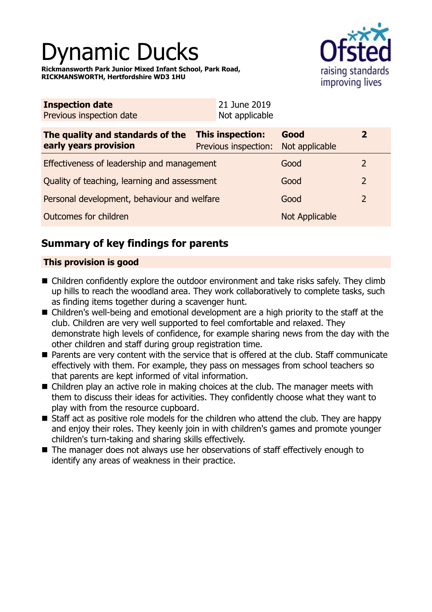# namic Ducks

**Rickmansworth Park Junior Mixed Infant School, Park Road, RICKMANSWORTH, Hertfordshire WD3 1HU**



| <b>Inspection date</b><br>Previous inspection date        | 21 June 2019<br>Not applicable           |                        |                |
|-----------------------------------------------------------|------------------------------------------|------------------------|----------------|
| The quality and standards of the<br>early years provision | This inspection:<br>Previous inspection: | Good<br>Not applicable | $\overline{2}$ |
| Effectiveness of leadership and management                |                                          | Good                   | 2              |
| Quality of teaching, learning and assessment              |                                          | Good                   | $\overline{2}$ |
| Personal development, behaviour and welfare               |                                          | Good                   | $\overline{2}$ |
| Outcomes for children                                     |                                          | Not Applicable         |                |

# **Summary of key findings for parents**

### **This provision is good**

- Children confidently explore the outdoor environment and take risks safely. They climb up hills to reach the woodland area. They work collaboratively to complete tasks, such as finding items together during a scavenger hunt.
- Children's well-being and emotional development are a high priority to the staff at the club. Children are very well supported to feel comfortable and relaxed. They demonstrate high levels of confidence, for example sharing news from the day with the other children and staff during group registration time.
- Parents are very content with the service that is offered at the club. Staff communicate effectively with them. For example, they pass on messages from school teachers so that parents are kept informed of vital information.
- $\blacksquare$  Children play an active role in making choices at the club. The manager meets with them to discuss their ideas for activities. They confidently choose what they want to play with from the resource cupboard.
- Staff act as positive role models for the children who attend the club. They are happy and enjoy their roles. They keenly join in with children's games and promote younger children's turn-taking and sharing skills effectively.
- $\blacksquare$  The manager does not always use her observations of staff effectively enough to identify any areas of weakness in their practice.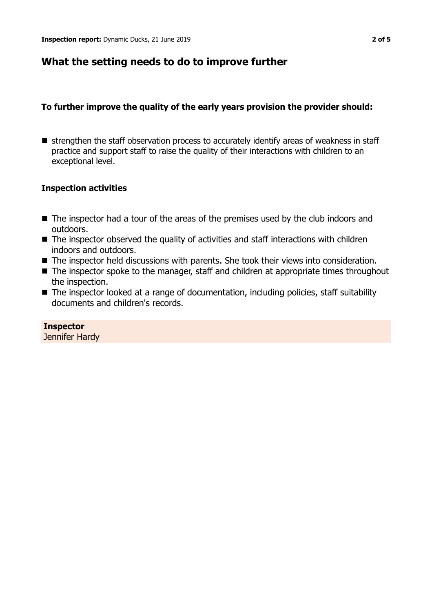## **What the setting needs to do to improve further**

#### **To further improve the quality of the early years provision the provider should:**

 $\blacksquare$  strengthen the staff observation process to accurately identify areas of weakness in staff practice and support staff to raise the quality of their interactions with children to an exceptional level.

### **Inspection activities**

- $\blacksquare$  The inspector had a tour of the areas of the premises used by the club indoors and outdoors.
- $\blacksquare$  The inspector observed the quality of activities and staff interactions with children indoors and outdoors.
- The inspector held discussions with parents. She took their views into consideration.
- $\blacksquare$  The inspector spoke to the manager, staff and children at appropriate times throughout the inspection.
- The inspector looked at a range of documentation, including policies, staff suitability documents and children's records.

**Inspector** Jennifer Hardy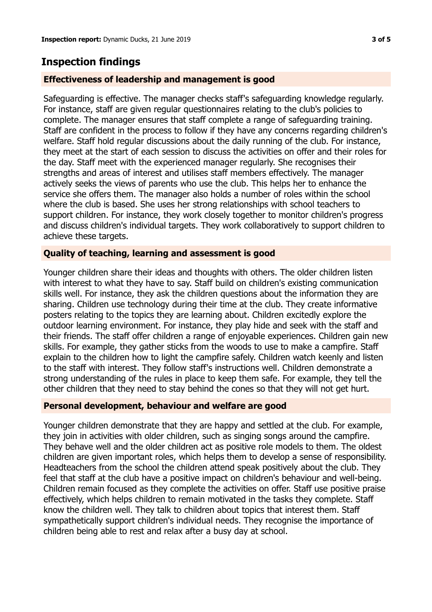## **Inspection findings**

#### **Effectiveness of leadership and management is good**

Safeguarding is effective. The manager checks staff's safeguarding knowledge regularly. For instance, staff are given regular questionnaires relating to the club's policies to complete. The manager ensures that staff complete a range of safeguarding training. Staff are confident in the process to follow if they have any concerns regarding children's welfare. Staff hold regular discussions about the daily running of the club. For instance, they meet at the start of each session to discuss the activities on offer and their roles for the day. Staff meet with the experienced manager regularly. She recognises their strengths and areas of interest and utilises staff members effectively. The manager actively seeks the views of parents who use the club. This helps her to enhance the service she offers them. The manager also holds a number of roles within the school where the club is based. She uses her strong relationships with school teachers to support children. For instance, they work closely together to monitor children's progress and discuss children's individual targets. They work collaboratively to support children to achieve these targets.

#### **Quality of teaching, learning and assessment is good**

Younger children share their ideas and thoughts with others. The older children listen with interest to what they have to say. Staff build on children's existing communication skills well. For instance, they ask the children questions about the information they are sharing. Children use technology during their time at the club. They create informative posters relating to the topics they are learning about. Children excitedly explore the outdoor learning environment. For instance, they play hide and seek with the staff and their friends. The staff offer children a range of enjoyable experiences. Children gain new skills. For example, they gather sticks from the woods to use to make a campfire. Staff explain to the children how to light the campfire safely. Children watch keenly and listen to the staff with interest. They follow staff's instructions well. Children demonstrate a strong understanding of the rules in place to keep them safe. For example, they tell the other children that they need to stay behind the cones so that they will not get hurt.

#### **Personal development, behaviour and welfare are good**

Younger children demonstrate that they are happy and settled at the club. For example, they join in activities with older children, such as singing songs around the campfire. They behave well and the older children act as positive role models to them. The oldest children are given important roles, which helps them to develop a sense of responsibility. Headteachers from the school the children attend speak positively about the club. They feel that staff at the club have a positive impact on children's behaviour and well-being. Children remain focused as they complete the activities on offer. Staff use positive praise effectively, which helps children to remain motivated in the tasks they complete. Staff know the children well. They talk to children about topics that interest them. Staff sympathetically support children's individual needs. They recognise the importance of children being able to rest and relax after a busy day at school.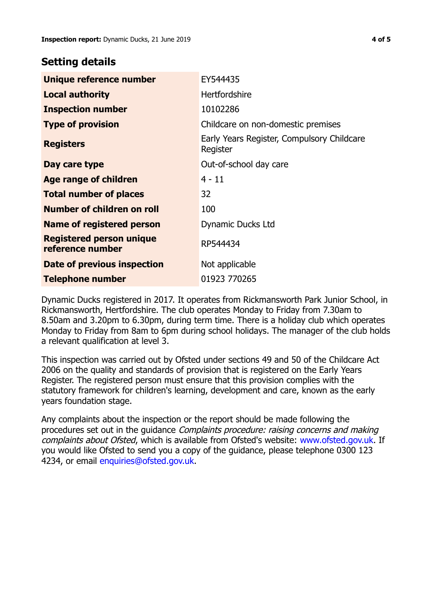## **Setting details**

| Unique reference number                             | EY544435                                               |  |
|-----------------------------------------------------|--------------------------------------------------------|--|
| <b>Local authority</b>                              | <b>Hertfordshire</b>                                   |  |
| <b>Inspection number</b>                            | 10102286                                               |  |
| <b>Type of provision</b>                            | Childcare on non-domestic premises                     |  |
| <b>Registers</b>                                    | Early Years Register, Compulsory Childcare<br>Register |  |
| Day care type                                       | Out-of-school day care                                 |  |
| Age range of children                               | $4 - 11$                                               |  |
| <b>Total number of places</b>                       | 32                                                     |  |
| Number of children on roll                          | 100                                                    |  |
| Name of registered person                           | Dynamic Ducks Ltd                                      |  |
| <b>Registered person unique</b><br>reference number | RP544434                                               |  |
| Date of previous inspection                         | Not applicable                                         |  |
| <b>Telephone number</b>                             | 01923 770265                                           |  |

Dynamic Ducks registered in 2017. It operates from Rickmansworth Park Junior School, in Rickmansworth, Hertfordshire. The club operates Monday to Friday from 7.30am to 8.50am and 3.20pm to 6.30pm, during term time. There is a holiday club which operates Monday to Friday from 8am to 6pm during school holidays. The manager of the club holds a relevant qualification at level 3.

This inspection was carried out by Ofsted under sections 49 and 50 of the Childcare Act 2006 on the quality and standards of provision that is registered on the Early Years Register. The registered person must ensure that this provision complies with the statutory framework for children's learning, development and care, known as the early years foundation stage.

Any complaints about the inspection or the report should be made following the procedures set out in the guidance Complaints procedure: raising concerns and making complaints about Ofsted, which is available from Ofsted's website: www.ofsted.gov.uk. If you would like Ofsted to send you a copy of the guidance, please telephone 0300 123 4234, or email [enquiries@ofsted.gov.uk.](mailto:enquiries@ofsted.gov.uk)